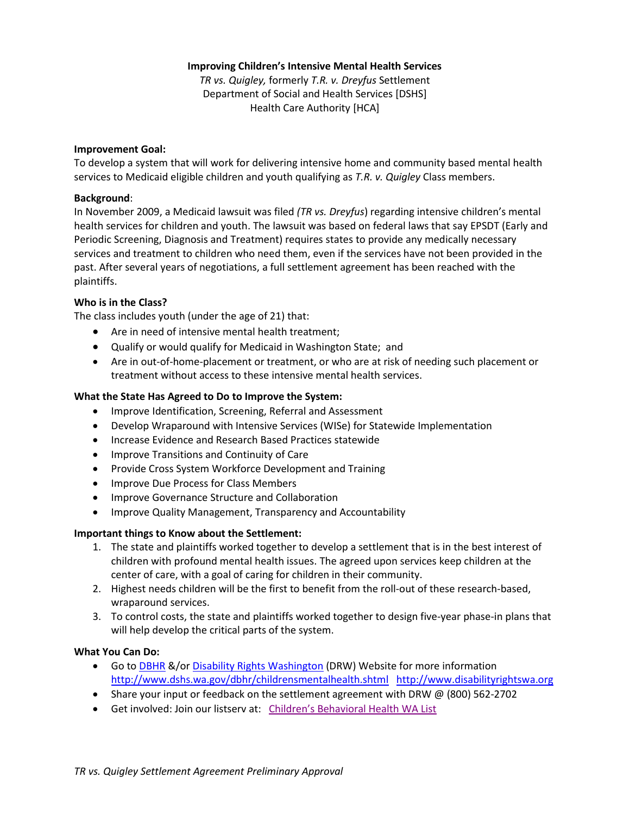## **Improving Children's Intensive Mental Health Services**

*TR vs. Quigley,* formerly *T.R. v. Dreyfus* Settlement Department of Social and Health Services [DSHS] Health Care Authority [HCA]

#### **Improvement Goal:**

To develop a system that will work for delivering intensive home and community based mental health services to Medicaid eligible children and youth qualifying as *T.R. v. Quigley* Class members.

### **Background**:

In November 2009, a Medicaid lawsuit was filed *(TR vs. Dreyfus*) regarding intensive children's mental health services for children and youth. The lawsuit was based on federal laws that say EPSDT (Early and Periodic Screening, Diagnosis and Treatment) requires states to provide any medically necessary services and treatment to children who need them, even if the services have not been provided in the past. After several years of negotiations, a full settlement agreement has been reached with the plaintiffs.

## **Who is in the Class?**

The class includes youth (under the age of 21) that:

- Are in need of intensive mental health treatment;
- Qualify or would qualify for Medicaid in Washington State; and
- Are in out-of-home-placement or treatment, or who are at risk of needing such placement or treatment without access to these intensive mental health services.

## **What the State Has Agreed to Do to Improve the System:**

- Improve Identification, Screening, Referral and Assessment
- Develop Wraparound with Intensive Services (WISe) for Statewide Implementation
- Increase Evidence and Research Based Practices statewide
- **•** Improve Transitions and Continuity of Care
- Provide Cross System Workforce Development and Training
- Improve Due Process for Class Members
- **Improve Governance Structure and Collaboration**
- Improve Quality Management, Transparency and Accountability

#### **Important things to Know about the Settlement:**

- 1. The state and plaintiffs worked together to develop a settlement that is in the best interest of children with profound mental health issues. The agreed upon services keep children at the center of care, with a goal of caring for children in their community.
- 2. Highest needs children will be the first to benefit from the roll-out of these research-based, wraparound services.
- 3. To control costs, the state and plaintiffs worked together to design five-year phase-in plans that will help develop the critical parts of the system.

#### **What You Can Do:**

- Go to [DBHR](http://www.dshs.wa.gov/dbhr/childrensmentalhealth.shtml) &/or [Disability Rights Washington](http://www.disabilityrightswa.org/) (DRW) Website for more information <http://www.dshs.wa.gov/dbhr/childrensmentalhealth.shtml> [http://www.disabilityrightswa.org](http://www.disabilityrightswa.org/)
- Share your input or feedback on the settlement agreement with DRW @ (800) 562-2702
- Get involved: Join our listserv at: Children['s Behavioral Health WA List](http://listserv.wa.gov/cgi-bin/wa?SUBED1=CHILDRENS_BEHAVIORAL_HEALTH_WA&A=1)